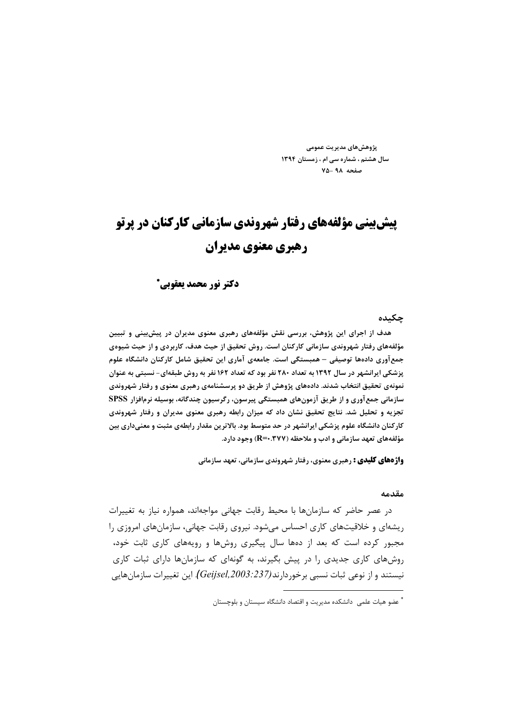پژوهش های مدیریت عمومے سال هشتم ، شماره سی ام ، زمستان ١٣٩٤ صفحه ۹۸-۷۵

# **پیش بینی مؤلفههای رفتار شهروندی سازمانی کارکنان در پرتو رهبری معنوی مدیران**

### دكتر نور محمد يعقوبي\*

#### چکىدە

هدف از اجرای این پژوهش، بررسی نقش مؤلفههای رهبری معنوی مدیران در پیش بینی و تبیین مؤلفههای رفتار شهروندی سازمانی کارکنان است. روش تحقیق از حیث هدف، کاربردی و از حیث شیوهی جمعآوری دادهها توصیفی – همبستگی است. جامعهی آماری این تحقیق شامل کارکنان دانشگاه علوم پزشکی ایرانشهر در سال ۱۳۹۲ به تعداد ۲۸۰ نفر بود که تعداد ۱۶۲ نفر به روش طبقهای- نسبتی به عنوان نمونهی تحقیق انتخاب شدند. دادههای پژوهش از طریق دو پرسشنامهی رهبری معنوی و رفتار شهروندی سازمانی جمع آوری و از طریق آزمونهای همبستگی پیرسون، رگرسیون چندگانه، بوسیله نرمافزار SPSS تجزیه و تحلیل شد. نتایج تحقیق نشان داد که میزان رابطه رهبری معنوی مدیران و رفتار شهروندی کارکنان دانشگاه علوم پزشکی ایرانشهر در حد متوسط بود. بالاترین مقدار رابطهی مثبت و معنیداری بین مؤلفههای تعهد سازمانی و ادب و ملاحظه (R=۰.۳۷۷) وجود دارد.

**واژههای کلیدی :** رهبری معنوی، رفتار شهروندی سازمانی، تعهد سازمانی

#### مقدمه

در عصر حاضر که سازمانها با محیط رقابت جهانی مواجهاند، همواره نیاز به تغییرات ریشهای و خلاقیتهای کاری احساس میشود. نیروی رقابت جهانی، سازمانهای امروزی را مجبور کرده است که بعد از دهها سال پیگیری روشها و رویههای کاری ثابت خود، روش های کاری جدیدی را در پیش بگیرند، به گونهای که سازمانها دارای ثبات کاری نیستند و از نوعی ثبات نسبی برخوردارند(Geijsel,2003:237). این تغییرات سازمانهایی

<sup>\*</sup> عضو هیات علمی ِ دانشکده مدیریت و اقتصاد دانشگاه سیستان و بلوچستان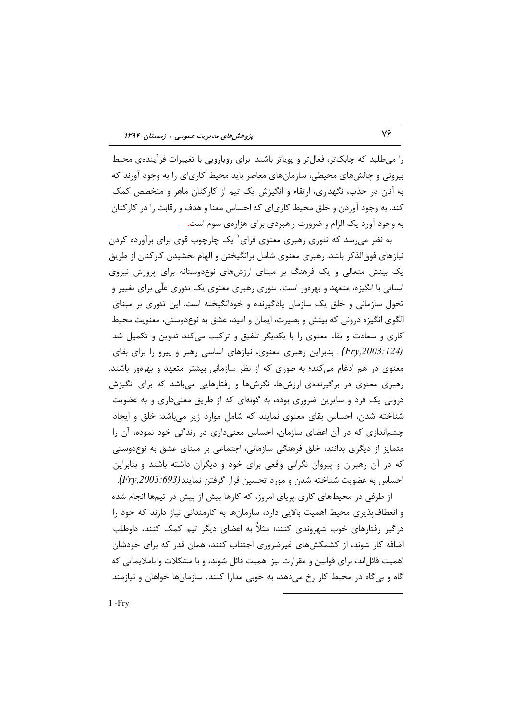را میطلبد که چابکتر، فعالتر و پویاتر باشند. برای رویارویی با تغییرات فزآیندهی محیط بیرونی و چالشهای محیطی، سازمانهای معاصر باید محیط کاریای را به وجود آورند که به آنان در جذب، نگهداری، ارتقاء و انگیزش یک تیم از کارکنان ماهر و متخصص کمک کند. به وجود آوردن و خلق محیط کاریای که احساس معنا و هدف و رقابت را در کارکنان به وجود آورد یک الزام و ضرورت راهبردی برای هزارهی سوم است.

به نظر میرسد که تئوری رهبری معنوی فرای ٰ یک چارچوب قوی برای برآورده کردن نیازهای فوق|لذکر باشد. رهبری معنوی شامل برانگیختن و الهام بخشیدن کارکنان از طریق یک بینش متعالی و یک فرهنگ بر مبنای ارزشهای نوعدوستانه برای پرورش نیروی انسانی با انگیزه، متعهد و بهرهور است. تئوری رهبری معنوی یک تئوری علّی برای تغییر و تحول سازمانی و خلق یک سازمان یادگیرنده و خودانگیخته است. این تئوری بر مبنای الگوی انگیزه درونی که بینش و بصیرت، ایمان و امید، عشق به نوعدوستی، معنویت محیط کاری و سعادت و بقاء معنوی را با یکدیگر تلفیق و ترکیب میکند تدوین و تکمیل شد &J & '3 ' . & &80 &. :%8 . *(Fry,2003:124)* معنوی در هم ادغام میکند؛ به طوری که از نظر سازمانی بیشتر متعهد و بهرهور باشند. رهبری معنوی در برگیرندهی ارزشها، نگرشها و رفتارهایی میباشد که برای انگیزش درونی یک فرد و سایرین ضروری بوده، به گونهای که از طریق معنیداری و به عضویت شناخته شدن، احساس بقای معنوی نمایند که شامل موارد زیر میباشد: خلق و ایجاد چشم|ندازی که در آن اعضای سازمان، احساس معنیداری در زندگی خود نموده، آن را متمایز از دیگری بدانند، خلق فرهنگی سازمانی، اجتماعی بر مبنای عشق به نوعدوستی که در آن رهبران و پیروان نگرانی واقعی برای خود و دیگران داشته باشند و بنابراین احساس به عضویت شناخته شدن و مورد تحسین قرار گرفتن نمایند(*Fry,2003:693*).

از طرفی در محیطهای کاری پویای امروز، که کارها بیش از پیش در تیمها انجام شده و انعطافپذیری محیط اهمیت بالایی دارد، سازمانها به کارمندانی نیاز دارند که خود را درگیر رفتارهای خوب شهروندی کنند؛ مثلاً به اعضای دیگر تیم کمک کنند، داوطلب اضافه کار شوند، از کشمکشهای غیرضروری اجتناب کنند، همان قدر که برای خودشان اهمیت قائل|ند، برای قوانین و مقرارت نیز اهمیت قائل شوند، و با مشکلات و ناملایماتی که گاه و بیگاه در محیط کار رخ میدهد، به خوبی مدارا کنند. سازمانها خواهان و نیازمند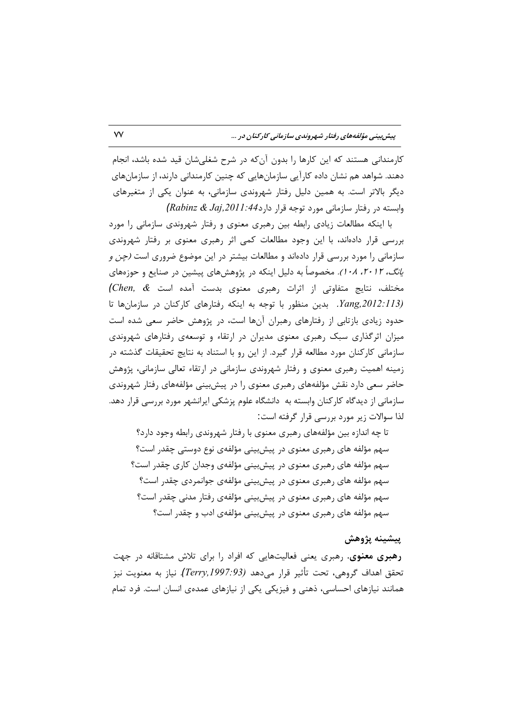کارمندانی هستند که این کارها را بدون آنکه در شرح شغلیشان قید شده باشد، انجام دهند. شواهد هم نشان داده کارآیی سازمانهایی که چنین کارمندانی دارند، از سازمانهای دیگر بالاتر است. به همین دلیل رفتار شهروندی سازمانی، به عنوان یکی از متغیرهای  $(Rabinz & Jaj, 2011:44)$ وابسته در رفتار سازمانی مورد توجه قرار دارد

با اینکه مطالعات زیادی رابطه بین رهبری معنوی و رفتار شهروندی سازمانی را مورد بررسی قرار دادهاند، با این وجود مطالعات کمی اثر رهبری معنوی بر رفتار شهروندی سازمانی را مورد بررسی قرار دادهاند و مطالعات بیشتر در این موضوع ضروری است *(چن و* ی*انگ، ۲۰۱۲، ۲۰۱۸).* مخصوصاً به دلیل اینکه در پژوهشهای پیشین در صنایع و حوزههای مختلف، نتایج متفاوتی از اثرات رهبری معنوی بدست آمده است & Chen, &) Yang, 2012:113). بدین منظور با توجه به اینکه رفتارهای کارکنان در سازمانها تا حدود زیادی بازتابی از رفتارهای رهبران آنها است، در پژوهش حاضر سعی شده است میزان اثرگذاری سبک رهبری معنوی مدیران در ارتقاء و توسعهی رفتارهای شهروندی سازمانی کارکنان مورد مطالعه قرار گیرد. از این رو با استناد به نتایج تحقیقات گذشته در زمینه اهمیت رهبری معنوی و رفتار شهروندی سازمانی در ارتقاء تعالی سازمانی، پژوهش حاضر سعی دارد نقش مؤلفههای رهبری معنوی را در پیش بینی مؤلفههای رفتار شهروندی سازمانی از دیدگاه کارکنان وابسته به دانشگاه علوم پزشکی ایرانشهر مورد بررسی قرار دهد. لذا سوالات زیر مورد بررسی قرار گرفته است:

تا چه اندازه بین مؤلفههای رهبری معنوی با رفتار شهروندی رابطه وجود دارد؟ سهم مؤلفه های رهبری معنوی در پیش بینی مؤلفهی نوع دوستی چقدر است؟ سهم مؤلفه های رهبری معنوی در پیشبینی مؤلفهی وجدان کاری چقدر است؟ سهم مؤلفه های رهبری معنوی در پیشبینی مؤلفهی جوانمردی چقدر است؟ سهم مؤلفه های رهبری معنوی در پیش بینی مؤلفهی رفتار مدنی چقدر است؟ سهم مؤلفه های رهبری معنوی در پیشبینی مؤلفهی ادب و چقدر است؟

### پيشينه پژوهش

**رهبری معنوی**. رهبری یعنی فعالیتهایی که افراد را برای تلاش مشتاقانه در جهت تحقق اهداف گروهي، تحت تأثير قرار ميدهد (Terry,1997:93). نياز به معنويت نيز همانند نیازهای احساسی، ذهنی و فیزیکی یکی از نیازهای عمدهی انسان است. فرد تمام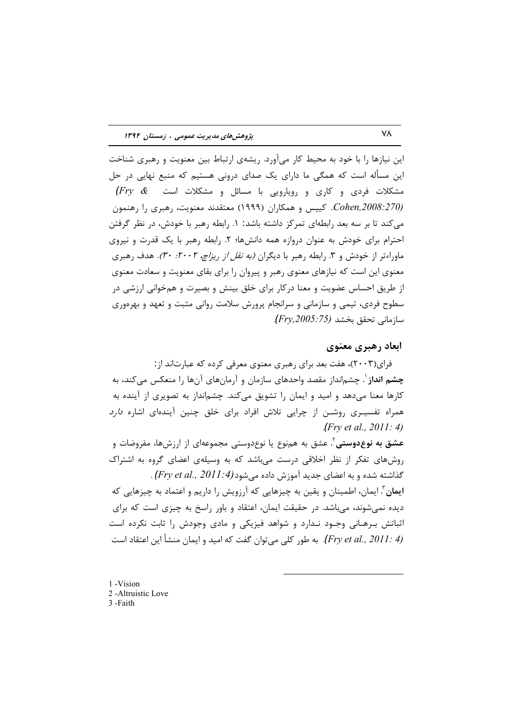این نیازها را با خود به محیط کار میآورد. ریشهی ارتباط بین معنویت و رهبری شناخت این مسأله است که همگی ما دارای یک صدای درونی هستیم که منبع نهایی در حل  $\textit{(Fry} \ \ \& \textit{---}$ مشکلات فردی و کاری و رویارویی با مسائل و مشکلات است Cohen,2008:270). کییس و همکاران (۱۹۹۹) معتقدند معنویت، رهبری را رهنمون می کند تا بر سه بعد رابطهای تمرکز داشته باشد: ۱. رابطه رهبر با خودش، در نظر گرفتن احترام برای خودش به عنوان دروازه همه دانش ها؛ ۲. رابطه رهبر با یک قدرت و نیروی ماوراءتر از خودش و ۳. رابطه رهبر با دیگران *(به نقل از ریزاچ، ۲۰۰۲: ۳۰).* هدف رهبری معنوی این است که نیازهای معنوی رهبر و پیروان را برای بقای معنویت و سعادت معنوی از طریق احساس عضویت و معنا درکار برای خلق بینش و بصیرت و همخوانی ارزشی در سطوح فردی، تیمی و سازمانی و سرانجام پرورش سلامت روانی مثبت و تعهد و بهرهوری سازماني تحقق بخشد (Fry,2005:75).

### ابعاد رهبري معنوي

فرای(۲۰۰۳)، هفت بعد برای رهبری معنوی معرفی کرده که عبارتاند از : چشم انداز <sup>۱</sup>. چشمانداز مقصد واحدهای سازمان و آرمانهای آنها را منعکس میکند، به کارها معنا میدهد و امید و ایمان را تشویق میکند. چشمانداز به تصویری از آینده به همراه تفسیـری روشـن از چرایی تلاش افراد برای خلق چنین آیندهای اشاره *دارد*  $(Frv et al., 2011: 4)$ 

**عشق به نوعدوستی** ٰ. عشق به همiوع یا نوعدوستی مجموعهای از ارزشها، مفروضات و روشهای تفکر از نظر اخلاقی درست میباشد که به وسیلهی اعضای گروه به اشتراک . (Fry et al., 2011:4) جدید آموزش داده می شود.(Fry et al., 2011:4). ایمان ؓ. ایمان، اطمینان و یقین به چیزهایی که آرزویش را داریم و اعتماد به چیزهایی که دیده نمیشوند، میباشد. در حقیقت ایمان، اعتقاد و باور راسخ به چیزی است که برای اثباتش برهـانی وجـود نـدارد و شواهد فیزیکی و مادی وجودش را ثابت نکرده است (Fry et al., 2011: 4). به طور كلي مي توان گفت كه اميد و ايمان منشأ اين اعتقاد است

1-Vision 2-Altruistic Love 3-Faith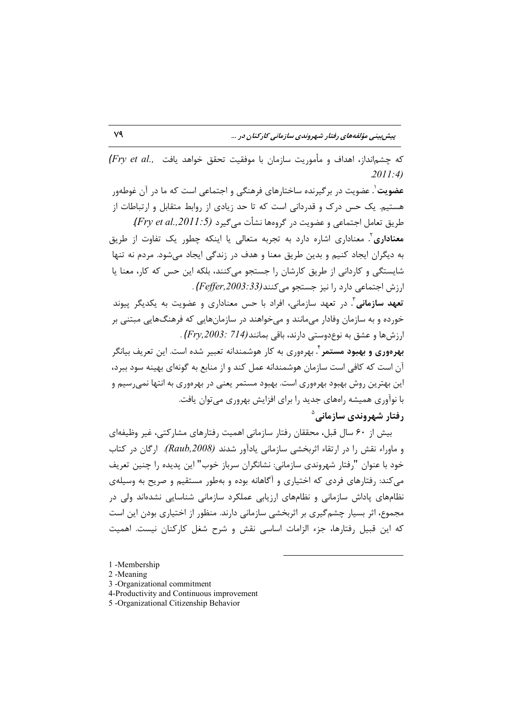(Fry et al., حشمانداز، اهداف و مأموريت سازمان با موفقيت تحقق خواهد يافت  $.2011:4)$ 

عضویت'. عضویت در برگیرنده ساختارهای فرهنگی و اجتماعی است که ما در آن غوطهور هستیم. یک حس درک و قدردانی است که تا حد زیادی از روابط متقابل و ارتباطات از طريق تعامل اجتماعي و عضويت در گروهها نشأت مي گيرد (Fry et al.,2011:5).

معناداری<sup>۲</sup>. معناداری اشاره دارد به تجربه متعالی یا اینکه چطور یک تفاوت از طریق به دیگران ایجاد کنیم و بدین طریق معنا و هدف در زندگی ایجاد میشود. مردم نه تنها شایستگی و کاردانی از طریق کارشان را جستجو می کنند، بلکه این حس که کار، معنا یا ارزش اجتماعی دارد را نیز جستجو می کنند(Feffer,2003:33) .

تعهد سازمانی<sup>۳</sup>. در تعهد سازمانی، افراد با حس معناداری و عضویت به یکدیگر پیوند خورده و به سازمان وفادار می،مانند و می خواهند در سازمانهایی که فرهنگهایی مبتنی بر ارزشها و عشق به نوعدوستی دارند، باقی بمانند(714 :Fry,2003).

بهرەورى و بهبود مستمر ٔ بهرەورى به كار هوشمندانه تعبير شده است. اين تعريف بيانگر آن است که کافی است سازمان هوشمندانه عمل کند و از منابع به گونهای بهینه سود ببرد، این بهترین روش بهبود بهرهوری است. بهبود مستمر یعنی در بهرهوری به انتها نمیرسیم و با نوآوری همیشه رامهای جدید را برای افزایش بهروری میتوان یافت. رفتار شهروندی سازمانے، <sup>۵</sup>

بیش از ۶۰ سال قبل، محققان رفتار سازمانی اهمیت رفتارهای مشارکتی، غیر وظیفهای و ماوراء نقش را در ارتقاء اثربخشی سازمانی یادآور شدند (Raub,2008). ارگان در کتاب خود با عنوان "رفتار شهروندي سازماني: نشانگران سرباز خوب" اين پديده را چنين تعريف می کند: رفتارهای فردی که اختیاری و آگاهانه بوده و بهطور مستقیم و صریح به وسیلهی نظامهای یاداش سازمانی و نظامهای ارزیابی عملکرد سازمانی شناسایی نشدهاند ولی در مجموع، اثر بسیار چشم گیری بر اثربخشی سازمانی دارند. منظور از اختیاری بودن این است که این قبیل رفتارها، جزء الزامات اساسی نقش و شرح شغل کارکنان نیست. اهمیت

- 3 -Organizational commitment
- 4-Productivity and Continuous improvement
- 5 -Organizational Citizenship Behavior

<sup>1-</sup>Membership

<sup>2-</sup>Meaning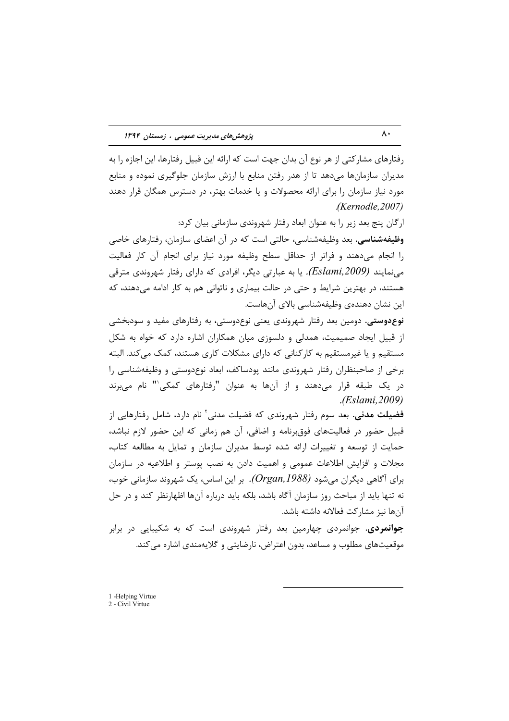رفتارهای مشارکتی از هر نوع آن بدان جهت است که ارائه این قبیل رفتارها، این اجازه را به مدیران سازمانها میدهد تا از هدر رفتن منابع با ارزش سازمان جلوگیری نموده و منابع مورد نیاز سازمان را برای ارائه محصولات و یا خدمات بهتر، در دسترس همگان قرار دهند .*(Kernodle,2007)*

ارگان پنج بعد زیر را به عنوان ابعاد رفتار شهروندی سازمانی بیان کرد: **وظیفهشناسی.** بعد وظیفهشناسی، حالتی است که در آن اعضای سازمان، رفتارهای خاصی را انجام میدهند و فراتر از حداقل سطح وظیفه مورد نیاز برای انجام آن کار فعالیت مینمایند *(Eslami,2009).* یا به عبارتی دیگر، افرادی که دارای رفتار شهروندی مترقی هستند، در بهترین شرایط و حتی در حالت بیماری و ناتوانی هم به کار ادامه میدهند، که اين نشان دهندهى وظيفهشناسي بالاي آنهاست.

**نوع دوستی**. دومین بعد رفتار شهروندی یعنی نوع دوستی، به رفتارهای مفید و سودبخشی از قبیل ایجاد صمیمیت، همدلی و دلسوزی میان همکاران اشاره دارد که خواه به شکل مستقیم و یا غیرمستقیم به کارکنانی که دارای مشکلات کاری هستند، کمک میکند. البته برخی از صاحبنظران رفتار شهروندی مانند پودساکف، ابعاد نوعدوستی و وظیفهشناسی را در یک طبقه قرار میدهند و از آنها به عنوان "رفتارهای کمکی'" نام میبرند .*(Eslami,2009)*

**فضیلت مدنی.** بعد سوم رفتار شهروندی که فضیلت مدنی<sup>٬</sup> نام دارد، شامل رفتارهایی از قبیل حضور در فعالیتهای فوق رنامه و اضافی، آن هم زمانی که این حضور لازم نباشد، حمایت از توسعه و تغییرات ارائه شده توسط مدیران سازمان و تمایل به مطالعه کتاب، مجلات و افزایش اطلاعات عمومی و اهمیت دادن به نصب پوستر و اطلاعیه در سازمان برای آگاهی دیگران میشود *(Organ,1988).* بر این اساس، یک شهروند سازمانی خوب، نه تنها باید از مباحث روز سازمان آگاه باشد، بلکه باید درباره آنها اظهارنظر کند و در حل آنها نیز مشارکت فعالانه داشته باشد.

ج**وانمردی.** جوانمردی چهارمین بعد رفتار شهروندی است که به شکیبایی در برابر موقعیتهای مطلوب و مساعد، بدون اعتراض، نارضایتی و گلایهمندی اشاره می *ک*ند.

1 -Helping Virtue 2 - Civil Virtue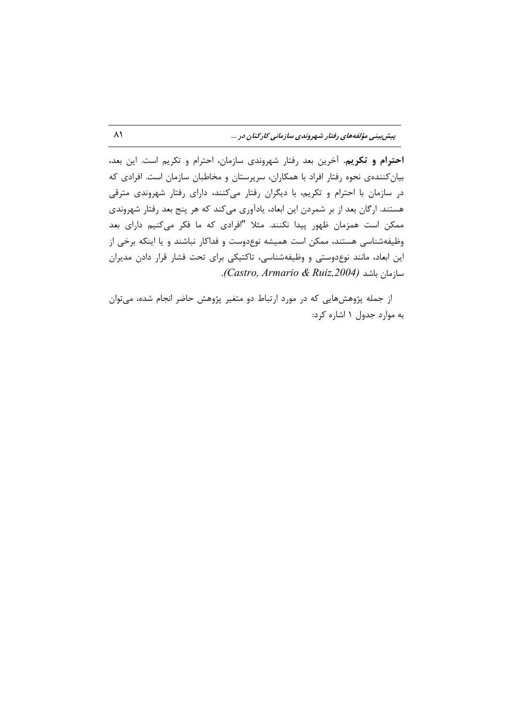احترام و تکریم. آخرین بعد رفتار شهروندی سازمان، احترام و تکریم است. این بعد، بیان کنندهی نحوه رفتار افراد با همکاران، سرپرستان و مخاطبان سازمان است. افرادی که در سازمان با احترام و تكريم، با ديگران رفتار مى كنند، داراى رفتار شهروندى مترقى هستند. ارگان بعد از بر شمردن این ابعاد، یادآوری میکند که هر پنج بعد رفتار شهروندی ممکن است همزمان ظهور پیدا نکنند. مثلا "افرادی که ما فکر میکنیم دارای بعد وظیفهشناسی هستند، ممکن است همیشه نوعدوست و فداکار نباشند و یا اینکه برخی از این ابعاد، مانند نوعدوستی و وظیفهشناسی، تاکتیکی برای تحت فشار قرار دادن مدیران سازمان باشد (Castro, Armario & Ruiz,2004).

از جمله پژوهشهایی که در مورد ارتباط دو متغیر پژوهش حاضر انجام شده، می توان به موارد جدول ١ اشاره كرد: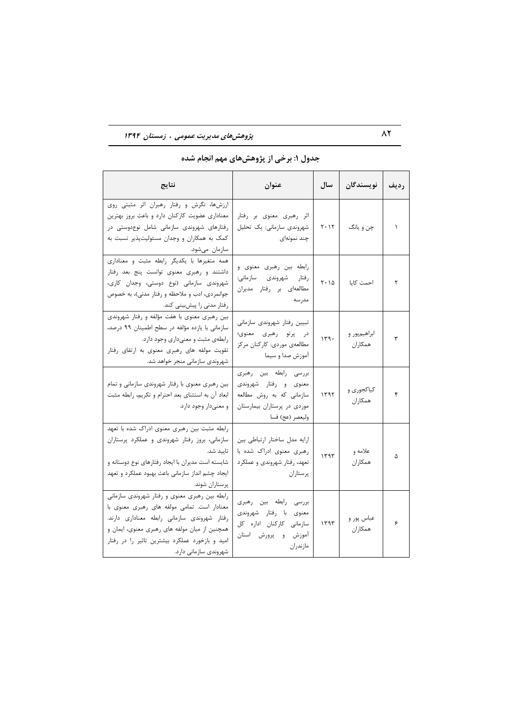## پژوهش های مدیریت عمومی ، زمستان ۱۳۹۴

| نتايج                                                                                                                                                                                                                                                                    | عنوان                                                                                                                        | سال              | نويسندگان               | رديف      |
|--------------------------------------------------------------------------------------------------------------------------------------------------------------------------------------------------------------------------------------------------------------------------|------------------------------------------------------------------------------------------------------------------------------|------------------|-------------------------|-----------|
| ارزشها، نگرش و رفتار رهبران اثر مثبتی روی<br>معناداری عضویت کارکنان دارد و باعث بروز بهترین<br>رفتارهای شهروندی سازمانی شامل نوعدوستی در<br>کمک به همکاران و وجدان مسئولیتپذیر نسبت به<br>سازمان مىشود.                                                                  | اثر رهبری معنوی بر رفتار<br>شهروندی سازمانی: یک تحلیل<br>چند نمونەاي                                                         | $Y \cdot Y$      | چن و يانگ               | $\lambda$ |
| همه متغیرها با یکدیگر رابطه مثبت و معناداری<br>داشتند و رهبری معنوی توانست پنج بعد رفتار<br>شهروندی سازمانی (نوع دوستی، وجدان کاری،<br>جوانمردي، ادب و ملاحظه و رفتار مدني)، به خصوص<br>رفتار مدنی را پیشبینی کند.                                                       | رابطه بین رهبری معنوی و<br>رفتار شهروندى سازمانى:<br>مطالعهای بر رفتار مدیران<br>مدرسه                                       | $Y \cdot \Delta$ | احمت كايا               | ٢         |
| بین رهبری معنوی با هفت مؤلفه و رفتار شهروندی<br>سازمانی با یازده مؤلفه در سطح اطمینان ۹۹ درصد،<br>رابطهی مثبت و معنیداری وجود دارد.<br>تقویت مولفه های رهبری معنوی به ارتقای رفتار<br>شهروندي سازماني منجر خواهد شد.                                                     | تبيين رفتار شهروندى سازماني<br>در پرتو رهبری معنوی؛<br>مطالعهی موردی: کارکنان مرکز<br>أموزش صدا و سيما                       | 149.             | ابراهیمپور و<br>همكاران | ٣         |
| بین رهبری معنوی با رفتار شهروندی سازمانی و تمام<br>ابعاد آن به استثناى بعد احترام و تكريم، رابطه مثبت<br>و معنیدار وجود دارد.                                                                                                                                            | بررسی رابطه بین رهبری<br>معنوی و رفتار شهروندی<br>سازمانی که به روش مطالعه<br>موردی در پرستاران بیمارستان<br>وليعصر (عج) فسا | ۱۳۹۲             | کیاکجوری و<br>همكاران   | ۴         |
| رابطه مثبت بین رهبری معنوی ادراک شده با تعهد<br>سازمانی، بروز رفتار شهروندی و عملکرد پرستاران<br>تاييد شد.<br>شایسته است مدیران با ایجاد رفتارهای نوع دوستانه و<br>ایجاد چشم انداز سازمانی باعث بهبود عملکرد و تعهد<br>پرستاران شوند.                                    | ارايه مدل ساختار ارتباطي بين<br>رهبری معنوی ادراک شده با<br>تعهد، رفتار شهروندي و عملكرد<br>پرستاران                         | 1197             | علامه و<br>همكاران      | ۵         |
| رابطه بین رهبری معنوی و رفتار شهروندی سازمانی<br>معنادار است. تمامی مولفه های رهبری معنوی با<br>رفتار شهروندی سازمانی رابطه معناداری دارند.<br>همچنین از میان مولفه های رهبری معنوی، ایمان و<br>امید و بازخورد عملکرد بیشترین تاثیر را در رفتار<br>شهروندی سازمانی دارد. | بررسی رابطه بین رهبری<br>با رفتار شهروندي<br>معنوى<br>كاركنان اداره كل<br>سازمانى<br>أموزش<br>و پرورش استان<br>مازندران      | 1197             | عباس پور و<br>همكاران   | ۶         |

## جدول ۱: برخی از پژوهشهای مهم انجام شده

 $\wedge$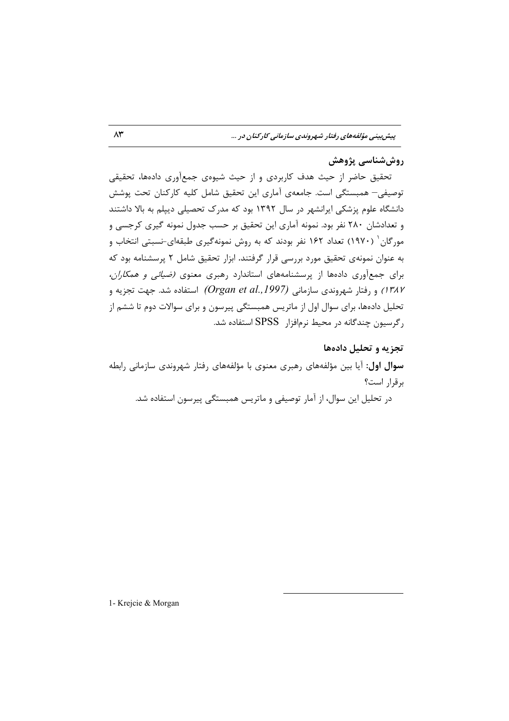### روش شناسي پژوهش

تحقیق حاضر از حیث هدف کاربردی و از حیث شیوهی جمعآوری دادهها، تحقیقی توصیفی– همبستگی است. جامعهی آماری این تحقیق شامل کلیه کارکنان تحت پوشش دانشگاه علوم پزشکی ایرانشهر در سال ۱۳۹۲ بود که مدرک تحصیلی دیپلم به بالا داشتند و تعدادشان ۲۸۰ نفر بود. نمونه آماری این تحقیق بر حسب جدول نمونه گیری کرجسی و مورگان ( ۱۹۷۰) تعداد ۱۶۲ نفر بودند که به روش نمونهگیری طبقهای-نسبتی انتخاب و به عنوان نمونهی تحقیق مورد بررسی قرار گرفتند. ابزار تحقیق شامل ۲ پرسشنامه بود که برای جمعآوری دادهها از پرسشنامههای استاندارد رهبری معنوی *(ضیائی و همکاران،* ا) و رفتار شهروندی سازمانی (Organ et al., 1997) استفاده شد. جهت تجزیه و تحلیل دادهها، برای سوال اول از ماتریس همبستگی پیرسون و برای سوالات دوم تا ششم از رگرسیون چندگانه در محیط نرمافزار SPSS استفاده شد.

### تجزیه و تحلیل دادهها

**سوال اول:** آیا بین مؤلفههای رهبری معنوی با مؤلفههای رفتار شهروندی سازمانی رابطه برقرار است؟

در تحلیل این سوال، از آمار توصیفی و ماتریس همبستگی پیرسون استفاده شد.

1- Krejcie & Morgan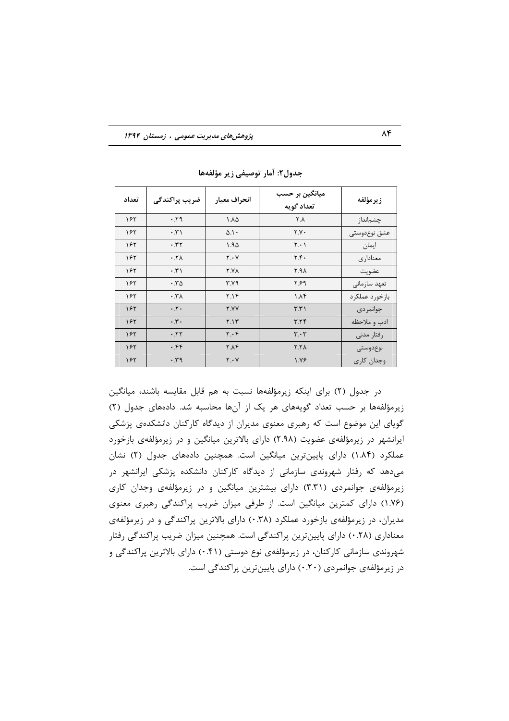| تعداد | ضریب پراکندگی               | انحراف معيار | میانگین بر حسب<br>تعداد گويه  | زيرمؤلفه       |
|-------|-----------------------------|--------------|-------------------------------|----------------|
| ۱۶۲   | .59                         | ۱.۸۵         | ٢.٨                           | چشمانداز       |
| ۱۶۲   | $\cdot$ . $\uparrow$ )      | $0.1 \cdot$  | Y.Y                           | عشق نوعدوستى   |
| ۱۶۲   | .77                         | 1.90         | $Y \cdot Y$                   | ايمان          |
| ۱۶۲   | $.7\lambda$                 | Y. Y         | Y.f.                          | معناداري       |
| ۱۶۲   | $\cdot$ , $\uparrow$ )      | <b>Y.YA</b>  | Y.A                           | عضويت          |
| ۱۶۲   | .50                         | ۳.۷۹         | ۶۶۹                           | تعهد سازماني   |
| ۱۶۲   | $\cdot$ . $\forall \lambda$ | 7.19         | $\Lambda$ ۴                   | بازخورد عملكرد |
| ۱۶۲   | $\cdot$ .                   | <b>Y.YY</b>  | $\uparrow \uparrow \uparrow$  | جوانمردى       |
| ۱۶۲   | $\cdot$ , $\cdot$           | Y.1Y         | Y.YY                          | ادب و ملاحظه   |
| 18٢   | .77                         | $Y \cdot Y$  | $\mathbf{r} \cdot \mathbf{r}$ | رفتار مدنى     |
| ۱۶۲   | .55                         | Y.AY         | X.7 <sub>A</sub>              | نوع دوستى      |
| ۱۶۲   | .59                         | $Y \cdot Y$  | $\lambda$ . $\gamma$ ۶        | وجدان كارى     |

جدول٢: آمار توصيفي زير مؤلفهها

در جدول (٢) برای اینکه زیرمؤلفهها نسبت به هم قابل مقایسه باشند، میانگین زیرمؤلفهها بر حسب تعداد گویههای هر یک از آنها محاسبه شد. دادههای جدول (۲) گویای این موضوع است که رهبری معنوی مدیران از دیدگاه کارکنان دانشکدهی پزشکی ایرانشهر در زیرمؤلفهی عضویت (۲.۹۸) دارای بالاترین میانگین و در زیرمؤلفهی بازخورد عملکرد (۱.۸۴) دارای پایینترین میانگین است. همچنین دادههای جدول (۲) نشان میدهد که رفتار شهروندی سازمانی از دیدگاه کارکنان دانشکده پزشکی ایرانشهر در زیرمؤلفهی جوانمردی (۳.۳۱) دارای بیشترین میانگین و در زیرمؤلفهی وجدان کاری (١.٧۶) دارای کمترین میانگین است. از طرفی میزان ضریب پراکندگی رهبری معنوی مدیران، در زیرمؤلفهی بازخورد عملکرد (۰.۳۸) دارای بالاترین پراکندگی و در زیرمؤلفهی معناداری (۲۸.۰) دارای پایینترین پراکندگی است. همچنین میزان ضریب پراکندگی رفتار شهروندی سازمانی کارکنان، در زیرمؤلفهی نوع دوستی (۴۱.۰) دارای بالاترین پراکندگی و در زیرمؤلفهی جوانمردی (۲۰.۰) دارای پایین ترین پراکندگی است.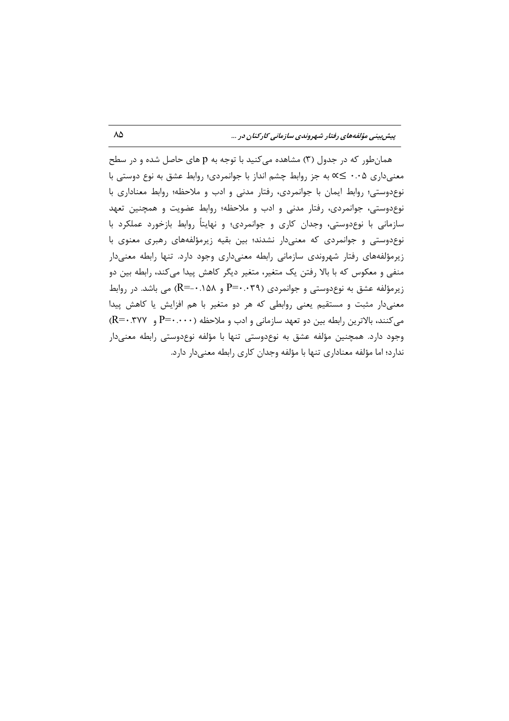همانطور که در جدول (۳) مشاهده میکنید با توجه به p های حاصل شده و در سطح معنیداری ۰.۰۵ ≥∝ به جز روابط چشم انداز با جوانمردی؛ روابط عشق به نوع دوستی با نوع دوستی؛ روابط ایمان با جوانمردی، رفتار مدنی و ادب و ملاحظه؛ روابط معناداری با نوع دوستی، جوانمردی، رفتار مدنی و ادب و ملاحظه؛ روابط عضویت و همچنین تعهد سازمانی با نوعدوستی، وجدان کاری و جوانمردی؛ و نهایتاً روابط بازخورد عملکرد با نوع دوستی و جوانمردی که معنی دار نشدند؛ بین بقیه زیرمؤلفههای رهبری معنوی با زیرمؤلفههای رفتار شهروندی سازمانی رابطه معنیداری وجود دارد. تنها رابطه معنیدار منفی و معکوس که با بالا رفتن یک متغیر، متغیر دیگر کاهش پیدا میکند، رابطه بین دو زیرمؤلفه عشق به نوع دوستی و جوانمردی (P=۰.۰۳۹ و R=-۰.۱۵۸) می باشد. در روابط معنیدار مثبت و مستقیم یعنی روابطی که هر دو متغیر با هم افزایش یا کاهش پیدا می کنند، بالاترین رابطه بین دو تعهد سازمانی و ادب و ملاحظه (۴۰۰۰۰-P و R=۰.۳۷۷) وجود دارد. همچنین مؤلفه عشق به نوعدوستی تنها با مؤلفه نوعدوستی رابطه معنیدار ندارد؛ اما مؤلفه معناداری تنها با مؤلفه وجدان کاری رابطه معنی دار دارد.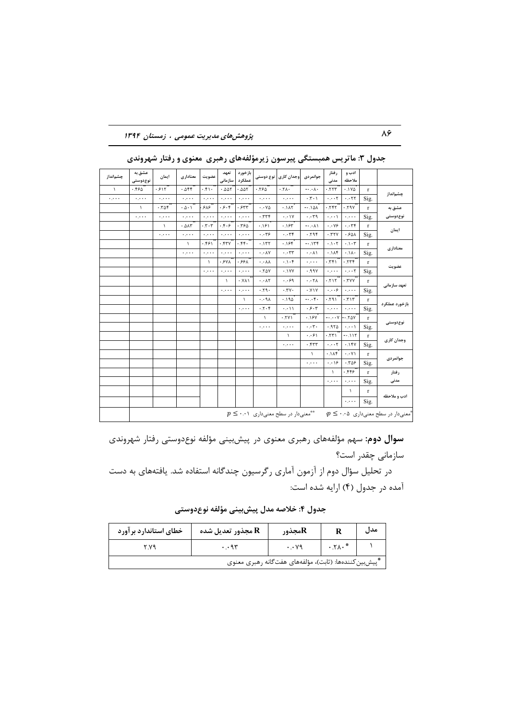پژوهش های مدیریت عمومی ، زمستان ۱۳۹۴

| چشمانداز  | عشق به<br>نوع دوستی                           | ايمان     | معناداری                       | عضويت                                                         | تعهد<br>سازمانی                     | بازخورد<br>عملكرد      | نوع دوستی                            | وجدان كارى                                       | جوانمر دی                   | ر فتار<br>مدنى           | ادب و<br>ملاحظه                             |              |                                                                |
|-----------|-----------------------------------------------|-----------|--------------------------------|---------------------------------------------------------------|-------------------------------------|------------------------|--------------------------------------|--------------------------------------------------|-----------------------------|--------------------------|---------------------------------------------|--------------|----------------------------------------------------------------|
| $\lambda$ | .550                                          | .515      | .055                           | .51.                                                          | .005                                | .005                   | .780                                 | .7A.                                             | $-\cdot \cdot \wedge \cdot$ | .777                     | $.1Y\Delta$                                 | $\mathbf{r}$ | چشمانداز                                                       |
| ولاوره    | $\alpha$ , $\alpha$ , $\alpha$                | ولواوره   | ولويو                          | بالمرد                                                        | جعبره                               | بتعرب                  | وعاود                                | وواوره                                           | $\cdot$ . $\cdot$ $\cdot$   | $\cdot \cdot \cdot$ ۲    | . .77                                       | Sig.         |                                                                |
|           | $\lambda$                                     | .709      | .0.1                           | ۶۸۶                                                           | .9.9                                | .557                   | $\cdot \cdot \vee \vartriangle$      | .1AT                                             | $A \Delta$ /. $-$           | .757                     | .79Y                                        | $\mathbf{r}$ | عشق به                                                         |
|           | $\mathbf{1},\mathbf{2},\mathbf{3},\mathbf{4}$ | ولاوره    | $\ldots$                       | ولاوره                                                        | $\cdot$ , $\cdot$ .                 | ولولونه                | .779                                 | $\cdot \cdot \cdot \vee$                         | $\cdot \cdot$ ۳۹            | $\cdot$                  | $\ddotsc$                                   | Sig.         | نوع دوستی                                                      |
|           |                                               | $\lambda$ | .015                           | $\cdot$ $\mathbf{r}$ $\cdot$ $\mathbf{r}$                     | .5.9                                | .780                   | .181                                 | .185                                             | $-\cdot$ . $\wedge$         | $\cdot \cdot \vee$       | $\cdot \cdot$ ۳۴                            | $\mathbf{r}$ | ایمان                                                          |
|           |                                               | ولواوره   | $\alpha$ , $\alpha$ , $\alpha$ | بالمرد                                                        | $\mathcal{L}_1$ , $\mathcal{L}_2$ , | بالمرد                 | $\cdot \cdot$ ۳۶                     | $\cdot \cdot \tau$ ۴                             | .79f                        | .77V                     | .501                                        | Sig.         |                                                                |
|           |                                               |           | $\lambda$                      | .551                                                          | $Y^*Y$                              | .55.                   | .157                                 | .188                                             | $-.117$                     | .1.7                     | $\cdot \cdot \cdot$ ۳                       | $\mathbf{r}$ | معناداري                                                       |
|           |                                               |           | بالمرب                         | $\mathcal{C}_{\mathcal{A}}$ , and $\mathcal{C}_{\mathcal{A}}$ | $\ddots$                            | $\ldots$               | $\cdot \cdot \wedge \vee$            | $\cdots$ rr                                      | $\cdot \cdot \wedge \wedge$ | .1 <sub>AF</sub>         | .11.                                        | Sig.         |                                                                |
|           |                                               |           |                                | $\lambda$                                                     | $.54\lambda$                        | .55A                   | $\cdot \cdot \wedge \wedge$          | $.1 - F$                                         | بالمنوع                     | .751                     | .779                                        | $\mathbf{r}$ |                                                                |
|           |                                               |           |                                | وعاوية                                                        | والمراد                             | لمعرب                  | .70Y                                 | .1YY                                             | .99Y                        | ولمبره                   | $\cdot \cdot \cdot \tau$                    | Sig.         | عضويت                                                          |
|           |                                               |           |                                |                                                               | $\mathcal{L}$                       | $\cdot$ . $Y \wedge Y$ | $\cdot \cdot \wedge \tau$            | .99                                              | $\cdot \cdot \tau$          | .715                     | YYY.                                        | $\mathbf{r}$ |                                                                |
|           |                                               |           |                                |                                                               | $\alpha$ , $\alpha$ , $\alpha$      | بتعرب                  | .79.                                 | .7V.                                             | . YY                        | $\cdot \cdot \cdot$ ۶    | $\ddotsc$                                   | Sig.         | تعهد سازمانی                                                   |
|           |                                               |           |                                |                                                               |                                     | $\lambda$              | $\cdot \cdot \mathsf{A}$             | .190                                             | $-0.05$                     | .791                     | .717                                        | $\mathbf{r}$ |                                                                |
|           |                                               |           |                                |                                                               |                                     | $\ldots$               | .7.9                                 | $\cdot \cdot \cdot \cdot \cdot$                  | .5.7                        | $\ddotsc$                | $\mathcal{L}_1 \mathcal{L}_2 \mathcal{L}_3$ | Sig.         | بازخورد عملكرد                                                 |
|           |                                               |           |                                |                                                               |                                     |                        | $\lambda$                            | .7Y1                                             | .18V                        | $-0.001 - 0.001$         |                                             | $\mathbf{r}$ |                                                                |
|           |                                               |           |                                |                                                               |                                     |                        | $\epsilon$ , $\epsilon$ , $\epsilon$ | ولاورة                                           | $\cdot \cdot \tau \cdot$    | .970                     | $\cdots$                                    | Sig.         | نوع دوستی                                                      |
|           |                                               |           |                                |                                                               |                                     |                        |                                      | $\lambda$                                        | .                           | .551                     | $-0.115$                                    | $\mathbf{r}$ |                                                                |
|           |                                               |           |                                |                                                               |                                     |                        |                                      | بالمرد                                           | .577                        | $\cdot \cdot \cdot \tau$ | .15Y                                        | Sig.         | وجدان كارى                                                     |
|           |                                               |           |                                |                                                               |                                     |                        |                                      |                                                  | $\lambda$                   | .1Af                     | $\cdot \cdot \cdot \vee \wedge$             | $\mathbf{r}$ |                                                                |
|           |                                               |           |                                |                                                               |                                     |                        |                                      |                                                  | لمحرك                       | .09                      | .709                                        | Sig.         | جوانمردى                                                       |
|           |                                               |           |                                |                                                               |                                     |                        |                                      |                                                  |                             | $\lambda$                | .559                                        | $\mathbf{r}$ | رفتار                                                          |
|           |                                               |           |                                |                                                               |                                     |                        |                                      |                                                  |                             | $\ldots$                 | $\ddotsc$                                   | Sig.         | مدنى                                                           |
|           |                                               |           |                                |                                                               |                                     |                        |                                      |                                                  |                             |                          | $\lambda$                                   | $\mathbf{r}$ |                                                                |
|           |                                               |           |                                |                                                               |                                     |                        |                                      |                                                  |                             |                          | $\cdots$                                    | Sig.         | ادب و ملاحظه                                                   |
|           |                                               |           |                                |                                                               |                                     |                        |                                      | $p \leq \cdots$ معنىدار در سطح معنىدارى $\cdots$ |                             |                          |                                             |              | $p \leq \cdots$ ه معنىدار در سطح معنىدارى ه $\rho \leq \cdots$ |

جدول ۳: ماتریس همبستگی پیرسون زیرمؤلفههای رهبری ًمعنوی و رفتار شهروندی

**سوال دوم**: سهم مؤلفههای رهبری معنوی در پیشبینی مؤلفه نوعدوستی رفتار شهروندی سازمانی چقدر است؟

در تحلیل سؤال دوم از آزمون آماری رگرسیون چندگانه استفاده شد. یافتههای به دست آمده در جدول (۴) ارایه شده است:

جدول ۴: خلاصه مدل پیشبینی مؤلفه نوعدوستی

| خطای استاندارد بر آورد                                | هجذور تعديل شده R | هجذورR               |                                     | مدل |  |  |
|-------------------------------------------------------|-------------------|----------------------|-------------------------------------|-----|--|--|
|                                                       | $\cdot \cdot$ 95  | $\cdot \cdot \vee$ ٩ | $\cdot$ . $\uparrow \wedge \cdot$ * |     |  |  |
| *پیشبین کنندهها: (ثابت)، مؤلفههای هفتگانه رهبری معنوی |                   |                      |                                     |     |  |  |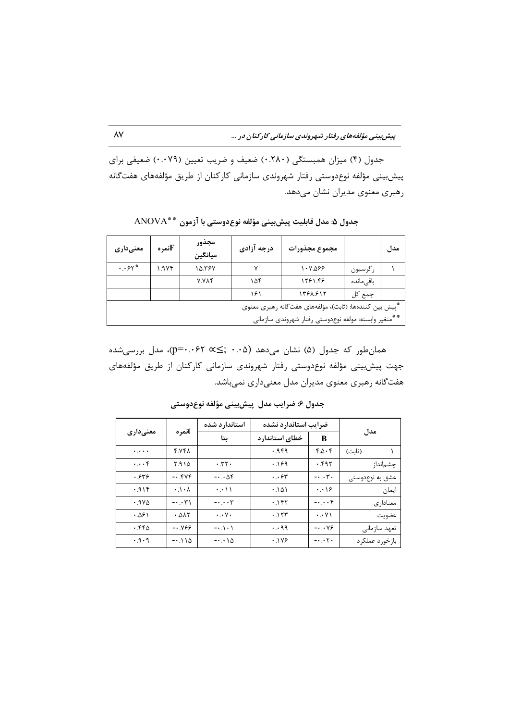جدول (۴) میزان همبستگی (۲۸۰) ضعیف و ضریب تعیین (۰.۰۷۹) ضعیفی برای پیشبینی مؤلفه نوعدوستی رفتار شهروندی سازمانی کارکنان از طریق مؤلفههای هفتگانه رهبری معنوی مدیران نشان میدهد.

| معنىدارى                                                                                                       | تمرهTi | مجذور<br>ميانگين | درجه آزادی | مجموع مجذورات |            | مدل |  |
|----------------------------------------------------------------------------------------------------------------|--------|------------------|------------|---------------|------------|-----|--|
| $\cdot \cdot$ $\cdot$ $\cdot$                                                                                  | ۱.۹۷۴  | ۱۵.۳۶۷           |            | $1 - Y.099$   | رگرسيون    |     |  |
|                                                                                                                |        | <b>Y.VAF</b>     | ۱۵۴        | 1281.48       | باقے ماندہ |     |  |
|                                                                                                                |        |                  | ۱۶۱        | 1381.815      | جمع کل     |     |  |
| *پیش بین کنندهها: (ثابت)، مؤلفههای هفتگانه رهبری معنوی<br>**متغير وابسته: مولفه نوعدوستي رفتار شهروندي سازماني |        |                  |            |               |            |     |  |

جدول ۵: مدل قابلیت پیش بینی مؤلفه نوع دوستی با آزمون \*\*ANOVA

همانطور که جدول (۵) نشان میدهد (۰۰۵) × p=۰.۰۶۲ د... =q)، مدل بررسیشده جهت پیشبینی مؤلفه نوعدوستی رفتار شهروندی سازمانی کارکنان از طریق مؤلفههای هفتگانه رهبري معنوي مديران مدل معنىداري نميباشد.

|                       |                            | استاندارد شده                       | ضرايب استاندارد نشده |                            |                 |
|-----------------------|----------------------------|-------------------------------------|----------------------|----------------------------|-----------------|
| معنىدارى              | tنمره                      | ىتا                                 | خطاى استاندارد       | B                          | مدل             |
| $\ddots \ddots$       | ۴.۷۴۸                      |                                     | .949                 | 4.0.6                      | (ثابت)          |
| $\cdot \cdot \cdot f$ | ۱۵ ۶.۹                     | .77.                                | .189                 | ۰.۴۹۲                      | چشمانداز        |
| .549                  | $-0.549$                   | $-0.08$                             | $\cdot$ . ۶۳         | $- \cdot \cdot \tau$ .     | عشق به نوعدوستی |
| .915                  | $\cdot \cdot \cdot \wedge$ | $\cdot \cdot \cdot \setminus \cdot$ | .101                 | $\cdot \cdot \cdot$        | ايمان           |
| $.9V\Delta$           | $-\cdot$ . $\cdot$ ۳۱      | $-\cdot \cdot \cdot \tau$           | .185                 | $-\cdot\cdot\cdot f$       | معناداري        |
| .281                  | .015                       | $\cdot \cdot \vee \cdot$            | .157                 | $\cdot \cdot \vee \wedge$  | عضويت           |
| ۰.۴۴۵                 | -0.88                      | $-0.10 - 1$                         | $\cdot \cdot$ 99     | $-\cdot \cdot \vee \infty$ | تعهد سازمانى    |
| .9.9                  | $-0.110$                   | $-\cdot\cdot\cdot\wedge\Delta$      | .1199                | $-0.05$                    | بازخورد عملكرد  |

جدول ۶: ضرایب مدل ۖ پیش بینی مؤلفه نوع دوستی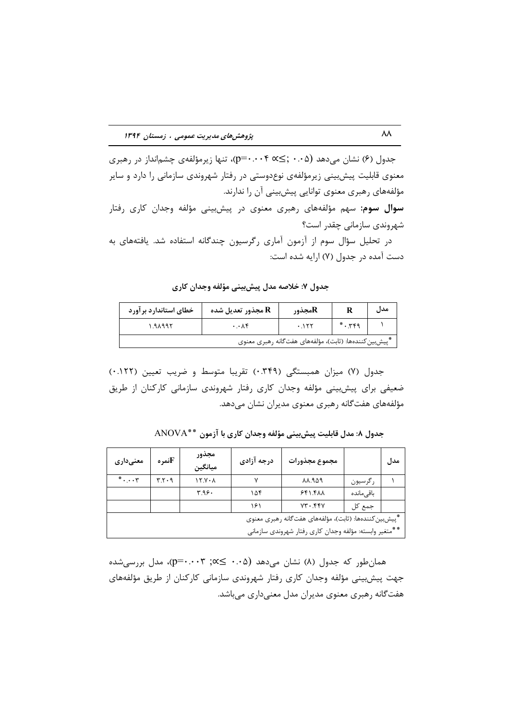جدول (۶) نشان میدهد (۵۰۰۵ (۰۰۵≲ p=۰.۰۰۴)، تنها زیرمؤلفهی چشم|نداز در رهبری معنوی قابلیت پیشبینی زیرمؤلفهی نوعدوستی در رفتار شهروندی سازمانی را دارد و سایر مؤلفههای رهبری معنوی توانایی پیشبینی آن را ندارند.

**سوال سوم:** سهم مؤلفههای رهبری معنوی در پیشبینی مؤلفه وجدان کاری رفتار شهروندی سازمانی چقدر است؟

در تحلیل سؤال سوم از آزمون آماری رگرسیون چندگانه استفاده شد. یافتههای به دست آمده در جدول (۷) ارایه شده است:

جدول ٧: خلاصه مدل پیش بینی مؤلفه وجدان کاری

| خطای استاندارد بر آورد | هجذور تعدیل شده R      | هجذورR                                                |               | مدل |
|------------------------|------------------------|-------------------------------------------------------|---------------|-----|
| ۱.۹۸۹۹۲                | $\cdot \cdot \wedge f$ | .155                                                  | $* \cdot 759$ |     |
|                        |                        | ٔپیشبین کنندهها: (ثابت)، مؤلفههای هفتگانه رهبری معنوی |               |     |

جدول (٧) ميزان همبستگي (٣۴٩.٠) تقريبا متوسط و ضريب تعيين (١٢٢.٠) ضعیفی برای پیش بینی مؤلفه وجدان کاری رفتار شهروندی سازمانی کارکنان از طریق مؤلفههای هفتگانه رهبری معنوی مدیران نشان میدهد.

| معنىدارى                                                | تمرهTi | مجذور<br>ميانگين              | درجه آزادی | مجموع مجذورات                                          |             | مدل |  |  |
|---------------------------------------------------------|--------|-------------------------------|------------|--------------------------------------------------------|-------------|-----|--|--|
| $* \cdot \cdot \cdot$                                   | 4.7.9  | $\lambda$ $\lambda$ $\lambda$ |            | 84.949                                                 | رگرسيون     |     |  |  |
|                                                         |        | ۳.۹۶۰                         | ۱۵۴        | 551.541                                                | باقے ٖماندہ |     |  |  |
|                                                         |        |                               | ۱۶۱        | VT.5YV                                                 | جمع کل      |     |  |  |
| *پیش بین کنندهها: (ثابت)، مؤلفههای هفت گانه رهبری معنوی |        |                               |            |                                                        |             |     |  |  |
|                                                         |        |                               |            | **متغير وابسته: مؤلفه وجدان كارى رفتار شهروندى سازماني |             |     |  |  |

جدول ٨: مدل قابليت پيش بيني مؤلفه وجدان كاري با آزمون \*\*ANOVA

همان طور که جدول (۸) نشان می دهد (۰۰۵ ≤ ×، ۳ =۰.۰۰)، مدل بررسی شده جهت پیش بینی مؤلفه وجدان کاری رفتار شهروندی سازمانی کارکنان از طریق مؤلفههای هفتگانه رهبری معنوی مدیران مدل معنیداری میباشد.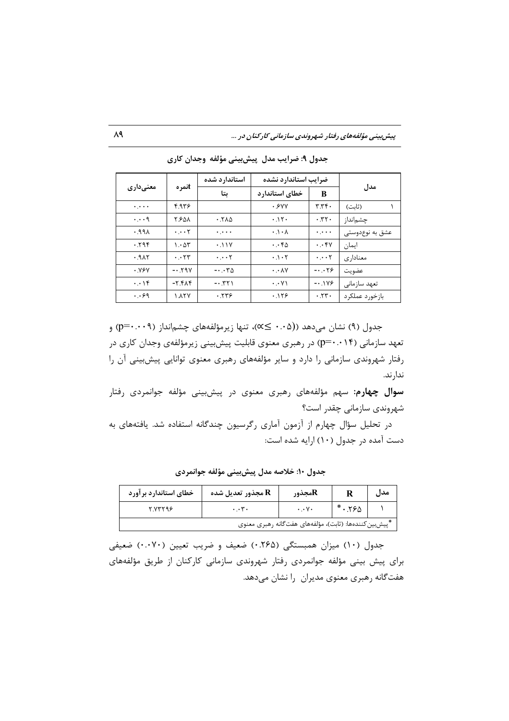پیش بینی مؤلفههای رفتار شهروندی سازمانی کارکنان در ...

|                       |                               | استاندارد شده                      | ضرايب استاندارد نشده             |                          |                 |
|-----------------------|-------------------------------|------------------------------------|----------------------------------|--------------------------|-----------------|
| معنىدارى              | tنمره                         | ىتا                                | خطاي استاندارد                   | в                        | مدل             |
| $\ddotsc$             | ۴۹۳۶                          |                                    | .5                               | T.Tf                     | (ثانت)          |
| $\cdot \cdot \cdot$ 9 | ۲۶۵۸                          | .540                               | .15.                             | .77.                     | چشمانداز        |
| .991                  | $\cdot \cdot \cdot \tau$      | ولوارة                             | $\cdot \cdot \cdot \wedge$       | $\ddotsc$                | عشق به نوعدوستی |
| .795                  | $\cdot \Delta r$              | .11V                               | $\cdot \cdot \cdot \cdot \wedge$ | $\cdot \cdot$ ۴۷         | ايمان           |
| .9A5                  | $\cdot \cdot$ $\cdot$ $\cdot$ | $\cdot \cdot \cdot \tau$           | $\cdot \cdot \cdot$              | $\cdot \cdot \cdot \tau$ | معناداری        |
| <b>۰.۷۶۷</b>          | $-.59V$                       | $-\cdot \cdot \cdot \tau_{\Delta}$ | $\cdot \cdot \wedge \vee$        | $-0.05$                  | عضويت           |
| $\cdot \cdot \cdot$   | $-7.91$                       | $-0.551$                           | $\cdot \cdot \vee \wedge$        | $-0.1Y9$                 | تعهد سازمانى    |
| $\cdot$ . $\cdot$ 9   | ۱.۸۲۷                         | .779                               | .119                             | .77.                     | بازخورد عملكرد  |

جدول ۹: ضرایب مدل پیش بینی مؤلفه وجدان کاری

جدول (۹) نشان میدهد ((۰۰۵ ≥∝)، تنها زیرمؤلفههای چشم|نداز (۹۰۰۰+p=) و تعهد سازمانی (p=۰.۰۱۴) در رهبری معنوی قابلیت پیشبینی زیرمؤلفهی وجدان کاری در رفتار شهروندی سازمانی را دارد و سایر مؤلفههای رهبری معنوی توانایی پیش بینی آن را ندار ند.

**سوال چهارم**: سهم مؤلفههای رهبری معنوی در پیشبینی مؤلفه جوانمردی رفتار شهروندی سازمانی چقدر است؟

در تحلیل سؤال چهارم از آزمون آماری رگرسیون چندگانه استفاده شد. یافتههای به دست آمده در جدول (۱۰) ارایه شده است:

جدول ۱۰: خلاصه مدل پیشبینی مؤلفه جوانمردی

| خطای استاندارد بر آورد | هجذور تعدیل شده R | هجذورR                                                | مدل |
|------------------------|-------------------|-------------------------------------------------------|-----|
| ۲ ۷۳۲۹۶                | $\cdot \cdot$ .   | $\cdot \cdot \vee \cdot$                              |     |
|                        |                   | ّپیشبین کنندهها: (ثابت)، مؤلفههای هفتگانه رهبری معنوی |     |

جدول (١٠) میزان همبستگی (٢۶۵.٠) ضعیف و ضریب تعیین (٠٠٠٧٠) ضعیفی برای پیش بینی مؤلفه جوانمردی رفتار شهروندی سازمانی کارکنان از طریق مؤلفههای هفتگانه رهبری معنوی مدیران را نشان میدهد.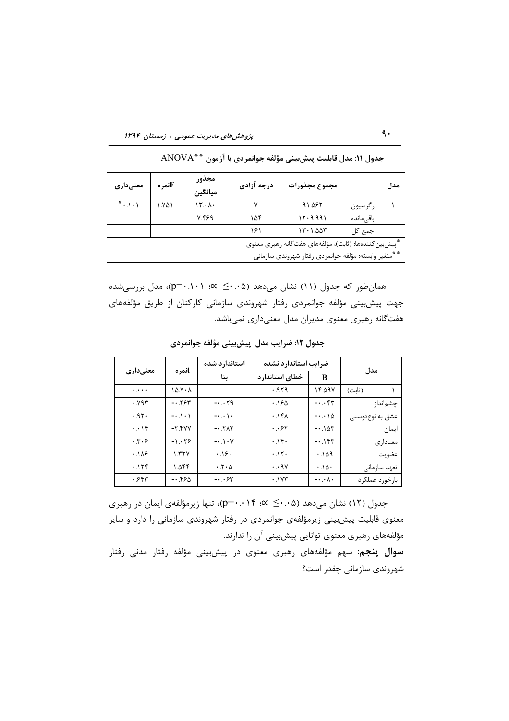پژوهش های مدیریت عمومی ، زمستان ۱۳۹۴

| معنىدارى                                                | تمرهT | مجذور<br>ميانگين                | درجه آزادی | مجموع مجذورات                                        |            | مدل |  |
|---------------------------------------------------------|-------|---------------------------------|------------|------------------------------------------------------|------------|-----|--|
| $* \cdot \cdot \cdot$                                   | ۱.۷۵۱ | $\mathcal{N} \cdot \mathcal{N}$ |            | 91.087                                               | رگرسيون    |     |  |
|                                                         |       | 799.7                           | ۱۵۴        | 17.9.991                                             | باقى ماندە |     |  |
|                                                         |       |                                 | ۱۶۱        | ۱۳۰۱.۵۵۳                                             | جمع کل     |     |  |
| *پیش بین کنندهها: (ثابت)، مؤلفههای هفت گانه رهبری معنوی |       |                                 |            |                                                      |            |     |  |
|                                                         |       |                                 |            | **متغير وابسته: مؤلفه جوانمردي رفتار شهروندي سازماني |            |     |  |

جدول ١١: مدل قابليت پيش بيني مؤلفه جوانمردي با آزمون \*\*ANOVA

همانطور که جدول (۱۱) نشان میدهد (۰.۵∸≥ ×؛ p=۰.۱۰۱)، مدل بررسیشده جهت پیشبینی مؤلفه جوانمردی رفتار شهروندی سازمانی کارکنان از طریق مؤلفههای هفتگانه رهبری معنوی مدیران مدل معنیداری نمیباشد.

|                             |            | استاندارد شده                | ضرايب استاندارد نشده      |                                    |                 |
|-----------------------------|------------|------------------------------|---------------------------|------------------------------------|-----------------|
| معنىدارى                    | tنمره      | ىتا                          | خطاي استاندارد            | B                                  | مدل             |
| $\ldots$                    | $10.7 - A$ |                              | .959                      | ۱۴.۵۹۷                             | (ثابت)          |
| .895                        | $-0.584$   | $-0.00$                      | .180                      | $- \cdot \cdot$ ۴۳                 | چشم نداز        |
| .95.                        | $-0.101$   | $- \cdot \cdot \cdot \cdot$  | $.1f\Lambda$              | $-\cdot \cdot \cdot \wedge \Delta$ | عشق به نوعدوستی |
| $\cdot \cdot \cdot$         | $-Y.YYY$   | $-0.5N$                      | $\cdot$ . $\cdot$ $\cdot$ | $-0.105$                           | ايمان           |
| $\cdot$ . $\cdot$ . $\cdot$ | $-1.19$    | $- \cdot \cdot \cdot$ $\vee$ | $.1$ ۴.                   | $-0.1$ ۴۳                          | معناداري        |
| .119                        | YYY        | .38.                         | .11                       | .109                               | عضويت           |
| .158                        | ۱.∆۴۴      | $\cdot$ . $\cdot$ $\wedge$   | $\cdot \cdot$ 9 $\vee$    | .10.                               | تعهد سازماني    |
| ۶۴۳.                        | $-0.590$   | $-0.087$                     | .1Y                       | $-\cdot \cdot \wedge \cdot$        | بازخورد عملكرد  |

جدول ١٢: ضرایب مدل پیش بینی مؤلفه جوانمردی

جدول (١٢) نشان میدهد (۶۰۰۵ × ۶۰۰ + p=۰.۰)، تنها زیرمؤلفهی ایمان در رهبری معنوی قابلیت پیشبینی زیرمؤلفهی جوانمردی در رفتار شهروندی سازمانی را دارد و سایر مؤلفههای رهبری معنوی توانایی پیشبینی آن را ندارند.

**سوال پنجم:** سهم مؤلفههای رهبری معنوی در پیشبینی مؤلفه رفتار مدنی رفتار شهروندی سازمانی چقدر است؟

 $\ddot{\mathsf{a}}$ .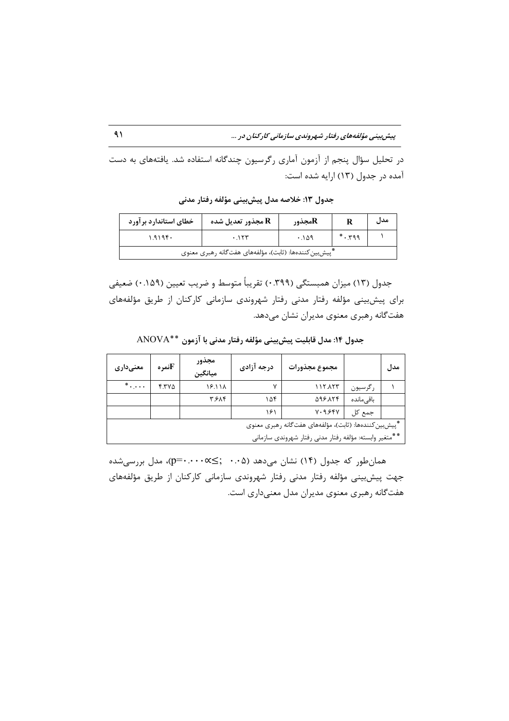پیش بینی مؤلفههای رفتار شهروندی سازمانی کارکنان در ...

در تحلیل سؤال پنجم از آزمون آماری رگرسیون چندگانه استفاده شد. یافتههای به دست آمده در جدول (١٣) ارايه شده است:

| خطاي استاندارد بر آورد                                 | مجذور تعديل شده ${\bf R}$ | هجذورR |      | مدل |  |  |
|--------------------------------------------------------|---------------------------|--------|------|-----|--|--|
| ۱۹۱۹۴۰<br>.155                                         |                           | ۱۵۹. ۰ | .799 |     |  |  |
| *ّپیشبین کنندهها: (ثابت)، مؤلفههای هفتگانه رهبری معنوی |                           |        |      |     |  |  |

جدول ١٣: خلاصه مدل پیش بینی مؤلفه رفتار مدنی

جدول (١٣) ميزان همبستگي (٣٩٩.٠) تقريباً متوسط و ضريب تعيين (١۵٩.٠) ضعيفي برای پیش بینی مؤلفه رفتار مدنی رفتار شهروندی سازمانی کارکنان از طریق مؤلفههای هفتگانه رهبری معنوی مدیران نشان میدهد.

جدول ۱۴: مدل قابلیت پیشبینی مؤلفه رفتار مدنی با آزمون \*\*ANOVA

| معنىدارى                                                | تمرهT | مجذور<br>ميانگين | درجه آزادی | مجموع مجذورات |            | مدل |  |
|---------------------------------------------------------|-------|------------------|------------|---------------|------------|-----|--|
| $^*$                                                    | ۴.۳۷۵ | 18.111           | ۷          | ۱۱۲.۸۲۳       | رگرسيون    |     |  |
|                                                         |       | <b>۳.۶۸۴</b>     | ۱۵۴        | 998.174       | باقے ماندہ |     |  |
|                                                         |       |                  | ۱۶۱        | V.956V        | جمع کل     |     |  |
| *پیش بین کنندهها: (ثابت)، مؤلفههای هفت گانه رهبری معنوی |       |                  |            |               |            |     |  |
| **متغير وابسته: مؤلفه رفتار مدنى رفتار شهروندى سازمانى  |       |                  |            |               |            |     |  |

همانطور که جدول (۱۴) نشان میدهد (۰۰۵ ;≥×۰۰۰×-p)، مدل بررسیشده جهت پیشبینی مؤلفه رفتار مدنی رفتار شهروندی سازمانی کارکنان از طریق مؤلفههای هفتگانه رهبری معنوی مدیران مدل معنیداری است.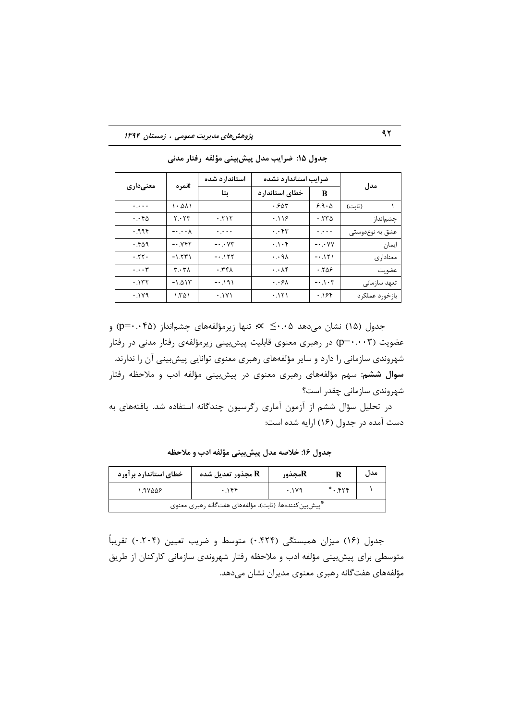### پژوهش های مدیریت عمومی ، زمستان ۱۳۹۴

| معنىدارى                                 | tنمره                         | استاندارد شده            | ضرايب استاندارد نشده     |                         | مدل             |  |
|------------------------------------------|-------------------------------|--------------------------|--------------------------|-------------------------|-----------------|--|
|                                          |                               | ىتا                      | خطاي استاندارد<br>B      |                         |                 |  |
| $\mathbf{r}_1\mathbf{r}_2\mathbf{r}_3$ . | ۱۰.۵۸۱                        |                          | .585                     | $9.9 \cdot \Delta$      | (ثابت)          |  |
| $\cdot \cdot \cdot$ ۴۵                   | Y. YY                         | .715                     | .119                     | .550                    | چشم نداز        |  |
| .996                                     | $-\cdot$ . $\cdot$ $\wedge$   | $\ddotsc$                | $\cdot\cdot$ ۴۳          | $\ldots$                | عشق به نوعدوستی |  |
| .509                                     | $-0.195$                      | $-\cdot\cdot$ $\vee\tau$ | $\cdot \cdot \cdot$ ۴    | $-\cdot$ $\vee$ $\vee$  | ايمان           |  |
| .75.                                     | $-1.551$                      | $-0.157$                 | $\cdot \cdot$ 9 $\wedge$ | $-0.151$                | معنادار ی       |  |
| $\cdot \cdot \cdot$ ۳                    | $\mathbf{r} \cdot \mathbf{r}$ | .74                      | $\cdot \cdot \wedge f$   | ۰.۲۵۶                   | عضويت           |  |
| .157                                     | $-1.015$                      | $-0.191$                 | $\cdot \cdot \epsilon$   | $- \cdot \cdot \cdot$ ۳ | تعهد سازمانى    |  |
| .119                                     | ۱.۳۵۱                         | .1Y1                     | .151                     | .188                    | بازخورد عملكرد  |  |

جدول ۱۵: ضرایب مدل پیشبینی مؤلفه رفتار مدنی

جدول (۱۵) نشان میدهد ۰.۵ک × »: تنها زیرمؤلفههای چشمانداز (۴۵۰۰+p=۰) و عضویت (p=۰.۰۰۳) در رهبری معنوی قابلیت پیشبینی زیرمؤلفهی رفتار مدنی در رفتار شهروندی سازمانی را دارد و سایر مؤلفههای رهبری معنوی توانایی پیشبینی آن را ندارند. سوال ششم: سهم مؤلفههای رهبری معنوی در پیشبینی مؤلفه ادب و ملاحظه رفتار شهروندی سازمانی چقدر است؟

در تحلیل سؤال ششم از آزمون آماری رگرسیون چندگانه استفاده شد. یافتههای به دست آمده در جدول (۱۶) ارایه شده است:

| خطای استاندارد بر آورد                                | هجذور تعديل شده R | هجذورR             |  | مدل |  |  |  |
|-------------------------------------------------------|-------------------|--------------------|--|-----|--|--|--|
| ۱.۹۷۵۵۶                                               | .156              | $*$ . $55$<br>.119 |  |     |  |  |  |
| *پیشبین کنندهها: (ثابت)، مؤلفههای هفتگانه رهبری معنوی |                   |                    |  |     |  |  |  |

جدول ۱۶: خلاصه مدل پیشبینی مؤلفه ادب و ملاحظه

جدول (۱۶) میزان همبستگی (۴۲۴.۰) متوسط و ضریب تعیین (۰.۲۰۴) تقریباً متوسطی برای پیش بینی مؤلفه ادب و ملاحظه رفتار شهروندی سازمانی کارکنان از طریق مؤلفههای هفتگانه رهبری معنوی مدیران نشان میدهد.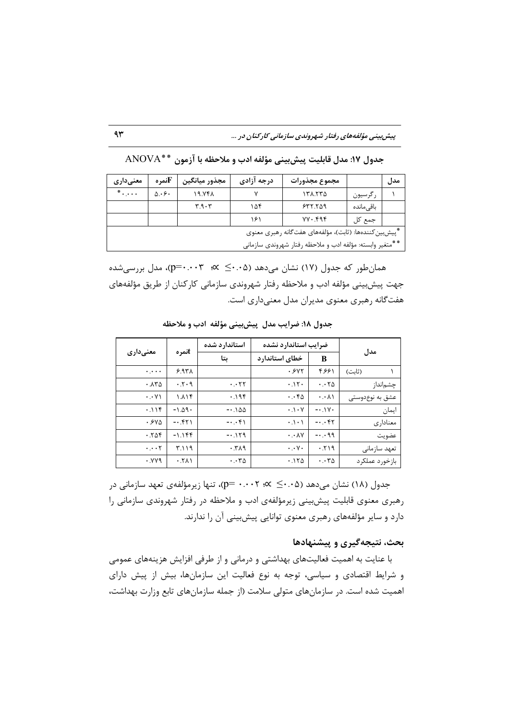پیش بینی مؤلفههای رفتار شهروندی سازمانی کارکنان در ...

| معنىدارى                                                 | تمرهTi           | مجذور ميانگين | درجه آزادي | مجموع مجذورات |            | مدا , |  |
|----------------------------------------------------------|------------------|---------------|------------|---------------|------------|-------|--|
| $*$                                                      | $\Delta \cdot 5$ | 19.741        |            | ۱۳۸.۲۳۵       | رگرسيون    |       |  |
|                                                          |                  | 4.9.7         | ۱۵۴        | 577.709       | باقے ماندہ |       |  |
|                                                          |                  |               | ۱۶۱        | $YY \cdot Y$  | جمع کل     |       |  |
| *ّییش بین کنندهها: (ثابت)، مؤلفههای هفت گانه رهبری معنوی |                  |               |            |               |            |       |  |
| **متغير وابسته: مؤلفه ادب و ملاحظه رفتار شهروندى سازمانى |                  |               |            |               |            |       |  |

جدول ١٧: مدل قابليت ييش بيني مؤلفه ادب و ملاحظه با آزمون \*\* ANOVA

همان طور که جدول (١٧) نشان مے دهد (٤٠.٠٤  $\times$  : ٣) = (p=٠.٠٠٣)، مدل بررسے شده جهت پیش بینی مؤلفه ادب و ملاحظه رفتار شهروندی سازمانی کارکنان از طریق مؤلفههای هفتگانه رهبری معنوی مدیران مدل معنیداری است.

| معنىدارى                                   | tنمره         | استاندارد شده                     | ضرايب استاندارد نشده             |                                         |                 |  |
|--------------------------------------------|---------------|-----------------------------------|----------------------------------|-----------------------------------------|-----------------|--|
|                                            |               | بتا                               | خطای استاندار د                  | B                                       | مدل             |  |
| $\mathbf{v}_1, \mathbf{v}_2, \mathbf{v}_3$ | $6.97\lambda$ |                                   | .5YY                             | ۴.۶۶۱                                   | (ثابت)          |  |
| .750                                       | .5.9          | $\cdot \cdot$ ٢٢                  | .11                              | $\cdot \cdot \cdot \wedge \Delta$       | چشم نداز        |  |
| $\cdot \cdot \vee \wedge$                  | 1.11f         | .195                              | $\cdot \cdot \cdot \cdot \wedge$ | $\cdot \cdot \wedge \wedge$             | عشق به نوعدوستی |  |
| .119                                       | $-1.09$       | $-1.100$                          | $\cdot \cdot \cdot$ $\cdot \vee$ | $-0.1V$                                 | ايمان           |  |
| .540                                       | $-0.551$      | $-0.65$                           | $\cdot \cdot \cdot$              | $-0.55$                                 | معناداري        |  |
| .708                                       | $-1.1$ ۴۴     | $-1.179$                          | $\cdot \cdot \wedge \vee$        | $-0.09$                                 | عضويت           |  |
| $\cdot \cdot \cdot \tau$                   | ۳.۱۱۹         | .719                              | $\cdot \cdot \vee \cdot$         | .719                                    | تعهد سازمانى    |  |
| .999                                       | .511          | $\cdot \cdot \cdot \tau_{\Delta}$ | .150                             | $\cdot$ . $\cdot$ $\uparrow$ $\uparrow$ | بازخورد عملكرد  |  |

جدول ١٨: ضرايب مدل پيش بيني مؤلفه ادب و ملاحظه

جدول (۱۸) نشان میدهد (۶۰۰۵ ≤ ۰۰۰۲ ×..• =p)، تنها زیرمؤلفهی تعهد سازمانی در رهبری معنوی قابلیت پیش بینی زیرمؤلفهی ادب و ملاحظه در رفتار شهروندی سازمانی را دارد و سایر مؤلفههای رهبری معنوی توانایی پیشبینی آن را ندارند.

### بحث، نتیجهگیری و پیشنهادها

با عنایت به اهمیت فعالیتهای بهداشتی و درمانی و از طرفی افزایش هزینههای عمومی و شرایط اقتصادی و سیاسی، توجه به نوع فعالیت این سازمانها، بیش از پیش دارای اهمیت شده است. در سازمانهای متولی سلامت (از جمله سازمانهای تابع وزارت بهداشت،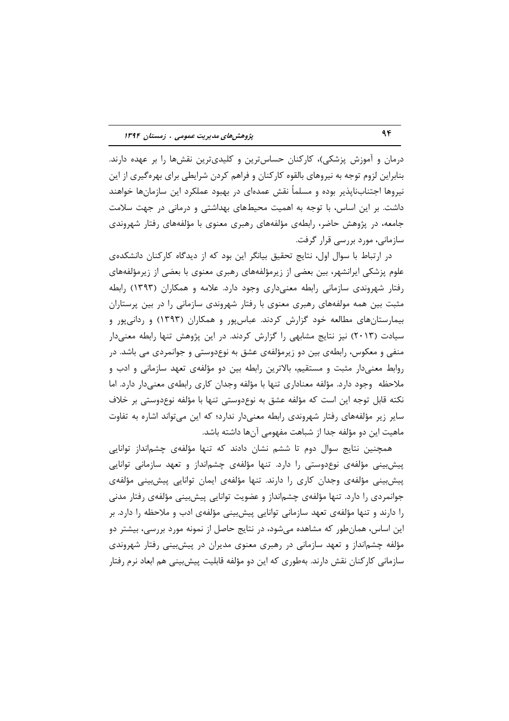درمان و آموزش پزشکی)، کارکنان حساسترین و کلیدیترین نقشها را بر عهده دارند. بنابراین لزوم توجه به نیروهای بالقوه کارکنان و فراهم کردن شرایطی برای بهرهگیری از این نیروها اجتنابناپذیر بوده و مسلماً نقش عمدهای در بهبود عملکرد این سازمانها خواهند داشت. بر این اساس، با توجه به اهمیت محیطهای بهداشتی و درمانی در جهت سلامت جامعه، در پژوهش حاضر، رابطهی مؤلفههای رهبری معنوی با مؤلفههای رفتار شهروندی سازمانی، مورد بررسی قرار گرفت.

در ارتباط با سوال اول، نتایج تحقیق بیانگر این بود که از دیدگاه کارکنان دانشکدهی علوم پزشکی ایرانشهر، بین بعضی از زیرمؤلفههای رهبری معنوی با بعضی از زیرمؤلفههای رفتار شهروندی سازمانی رابطه معنیداری وجود دارد. علامه و همکاران (۱۳۹۳) رابطه مثبت بین همه مولفههای رهبری معنوی با رفتار شهروندی سازمانی را در بین پرستاران بیمارستانهای مطالعه خود گزارش کردند. عباسپور و همکاران (۱۳۹۳) و ردانیپور و سیادت (۲۰۱۳) نیز نتایج مشابهی را گزارش کردند. در این پژوهش تنها رابطه معنیدار منفی و معکوس، رابطهی بین دو زیرمؤلفهی عشق به نوعدوستی و جوانمردی می باشد. در روابط معنیدار مثبت و مستقیم، بالاترین رابطه بین دو مؤلفهی تعهد سازمانی و ادب و ملاحظه وجود دارد. مؤلفه معناداري تنها با مؤلفه وجدان كارى رابطهى معنىدار دارد. اما نكته قابل توجه اين است كه مؤلفه عشق به نوعدوستي تنها با مؤلفه نوعدوستي بر خلاف سایر زیر مؤلفههای رفتار شهروندی رابطه معنیدار ندارد؛ که این می تواند اشاره به تفاوت ماهیت این دو مؤلفه جدا از شباهت مفهومی آنها داشته باشد.

همچنین نتایج سوال دوم تا ششم نشان دادند که تنها مؤلفهی چشمانداز توانایی پیش بینی مؤلفهی نوعدوستی را دارد. تنها مؤلفهی چشمانداز و تعهد سازمانی توانایی پیشبینی مؤلفهی وجدان کاری را دارند. تنها مؤلفهی ایمان توانایی پیشبینی مؤلفهی جوانمردی را دارد. تنها مؤلفهی چشمانداز و عضویت توانایی پیشبینی مؤلفهی رفتار مدنی را دارند و تنها مؤلفهی تعهد سازمانی توانایی پیشبینی مؤلفهی ادب و ملاحظه را دارد. بر این اساس، همان طور که مشاهده می شود، در نتایج حاصل از نمونه مورد بررسی، بیشتر دو مؤلفه چشمانداز و تعهد سازمانی در رهبری معنوی مدیران در پیش بینی رفتار شهروندی سازمانی کارکنان نقش دارند. بهطوری که این دو مؤلفه قابلیت پیش بینی هم ابعاد نرم رفتار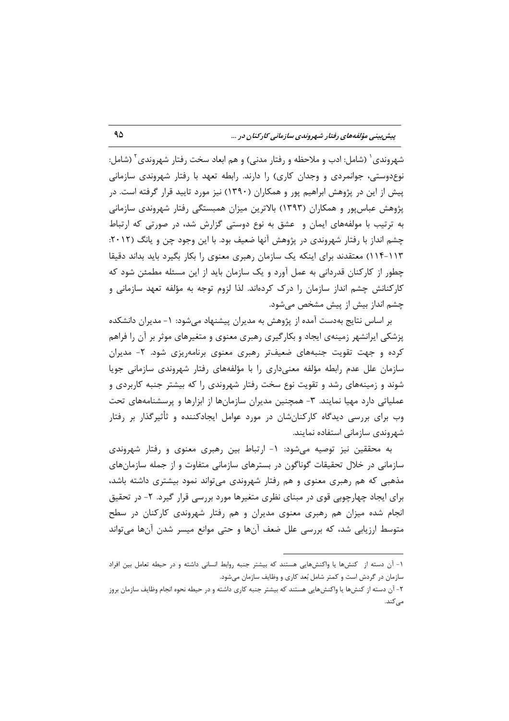شهروندی` (شامل: ادب و ملاحظه و رفتار مدنی) و هم ابعاد سخت رفتار شهروندی` (شامل: نوع دوستی، جوانمردی و وجدان کاری) را دارند. رابطه تعهد با رفتار شهروندی سازمانی پیش از این در پژوهش ابراهیم پور و همکاران (۱۳۹۰) نیز مورد تایید قرار گرفته است. در پژوهش عباس پور و همکاران (۱۳۹۳) بالاترین میزان همبستگی رفتار شهروندی سازمانی به ترتیب با مولفههای ایمان و عشق به نوع دوستی گزارش شد، در صورتی که ارتباط چشم انداز با رفتار شهروندی در پژوهش آنها ضعیف بود. با این وجود چن و یانگ (۲۰۱۲: ۱۱۳-۱۱۴) معتقدند برای اینکه یک سازمان رهبری معنوی را بکار بگیرد باید بداند دقیقا چطور از کارکنان قدردانی به عمل آورد و یک سازمان باید از این مسئله مطمئن شود که کارکنانش چشم انداز سازمان را درک کردهاند. لذا لزوم توجه به مؤلفه تعهد سازمانی و چشم انداز بیش از پیش مشخص می شود.

بر اساس نتایج بهدست آمده از پژوهش به مدیران پیشنهاد میشود: ١- مدیران دانشکده پزشکی ایرانشهر زمینهی ایجاد و بکارگیری رهبری معنوی و متغیرهای موثر بر آن را فراهم کرده و جهت تقویت جنبههای ضعیفتر رهبری معنوی برنامهریزی شود. ۲- مدیران سازمان علل عدم رابطه مؤلفه معنىدارى را با مؤلفههاى رفتار شهروندى سازمانى جويا شوند و زمینههای رشد و تقویت نوع سخت رفتار شهروندی را که بیشتر جنبه کاربردی و عملیاتی دارد مهیا نمایند. ۳- همچنین مدیران سازمانها از ابزارها و پرسشنامههای تحت وب برای بررسی دیدگاه کارکنان،شان در مورد عوامل ایجادکننده و ثأثیرگذار بر رفتار شهروندی سازمانی استفاده نمایند.

به محققین نیز توصیه میشود: ۱- ارتباط بین رهبری معنوی و رفتار شهروندی سازمانی در خلال تحقیقات گوناگون در بسترهای سازمانی متفاوت و از جمله سازمانهای مذهبی که هم رهبری معنوی و هم رفتار شهروندی میتواند نمود بیشتری داشته باشد، برای ایجاد چهارچوبی قوی در مبنای نظری متغیرها مورد بررسی قرار گیرد. ۲- در تحقیق انجام شده میزان هم رهبری معنوی مدیران و هم رفتار شهروندی کارکنان در سطح متوسط ارزیابی شد، که بررسی علل ضعف آنها و حتی موانع میسر شدن آنها میتواند

١- أن دسته از كنشها يا واكنشهايي هستند كه بيشتر جنبه روابط انساني داشته و در حيطه تعامل بين افراد سازمان در گردش است و کمتر شامل بُعد کاری و وظایف سازمان میشود.

۲- آن دسته از کنشها یا واکنشهایی هستند که بیشتر جنبه کاری داشته و در حیطه نحوه انجام وظایف سازمان بروز مى كند.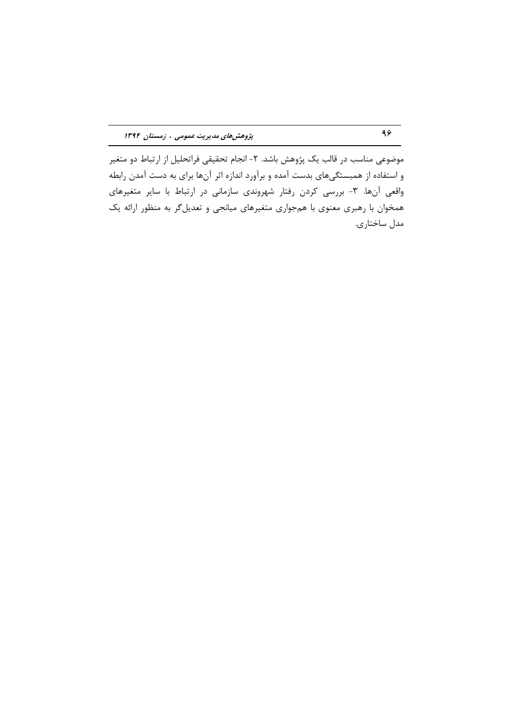موضوعی مناسب در قالب یک پژوهش باشد. ۲- انجام تحقیقی فراتحلیل از ارتباط دو متغیر و استفاده از همبستگیهای بدست آمده و برآورد اندازه اثر آنها برای به دست آمدن رابطه واقعی آنها. ۳- بررسی کردن رفتار شهروندی سازمانی در ارتباط با سایر متغیرهای همخوان با رهبری معنوی با همجواری متغیرهای میانجی و تعدیل گر به منظور ارائه یک مدل ساختاري.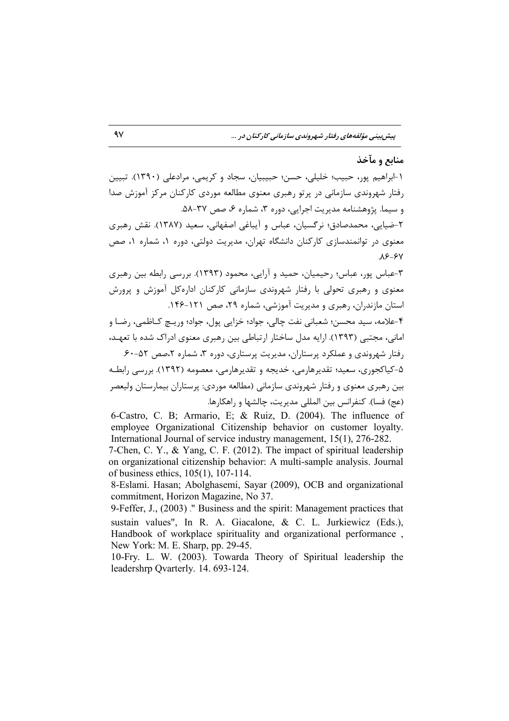### منابع و مآخذ

۱-ابراهیم پور، حبیب؛ خلیلی، حسن؛ حبیبیان، سجاد و کریمی، مرادعلی (۱۳۹۰). تبیین رفتار شهروندی سازمانی در پرتو رهبری معنوی مطالعه موردی کارکنان مرکز آموزش صدا و سیما. پژوهشنامه مدیریت اجرایی، دوره ۳، شماره ۶، صص ۳۷-۵۸.

۲-ضیایی، محمدصادق؛ نرگسیان، عباس و آیباغی اصفهانی، سعید (۱۳۸۷). نقش رهبری معنوی در توانمندسازی کارکنان دانشگاه تهران، مدیریت دولتی، دوره ۱، شماره ۱، صص  $A9 - 9V$ 

۳-عباس پور، عباس؛ رحیمیان، حمید و آرایی، محمود (۱۳۹۳). بررسی رابطه بین رهبری معنوی و رهبری تحولی با رفتار شهروندی سازمانی کارکنان ادارهکل آموزش و پرورش استان مازندران، رهبری و مدیریت آموزشی، شماره ۲۹، صص ۱۲۱-۱۴۶.

۴-علامه، سيد محسن؛ شعباني نفت چالي، جواد؛ خزايي پول، جواد؛ وريــچ كــاظمى، رضــا و امانی، مجتبی (۱۳۹۳). ارایه مدل ساختار ارتباطی بین رهبری معنوی ادراک شده با تعهـد، رفتار شهروندی و عملکرد پرستاران، مدیریت پرستاری، دوره ۳، شماره ۲،صص ۵۲-۶۰.

۵-کیاکجوری، سعید؛ تقدیرهارمی، خدیجه و تقدیرهارمی، معصومه (۱۳۹۲). بررسی رابطـه بین رهبری معنوی و رفتار شهروندی سازمانی (مطالعه موردی: پرستاران بیمارستان ولیعصر (عج) فسا). كنفرانس بين المللي مديريت، چالشها و راهكارها.

6-Castro, C. B: Armario, E: & Ruiz, D. (2004). The influence of employee Organizational Citizenship behavior on customer lovalty. International Journal of service industry management, 15(1), 276-282.

7-Chen, C. Y., & Yang, C. F. (2012). The impact of spiritual leadership on organizational citizenship behavior: A multi-sample analysis. Journal of business ethics, 105(1), 107-114.

8-Eslami. Hasan; Abolghasemi, Savar (2009), OCB and organizational commitment, Horizon Magazine, No 37.

9-Feffer, J., (2003)." Business and the spirit: Management practices that sustain values". In R. A. Giacalone, & C. L. Jurkiewicz (Eds.). Handbook of workplace spirituality and organizational performance, New York: M. E. Sharp, pp. 29-45.

10-Fry. L. W. (2003). Towarda Theory of Spiritual leadership the leadershrp Qvarterly. 14. 693-124.